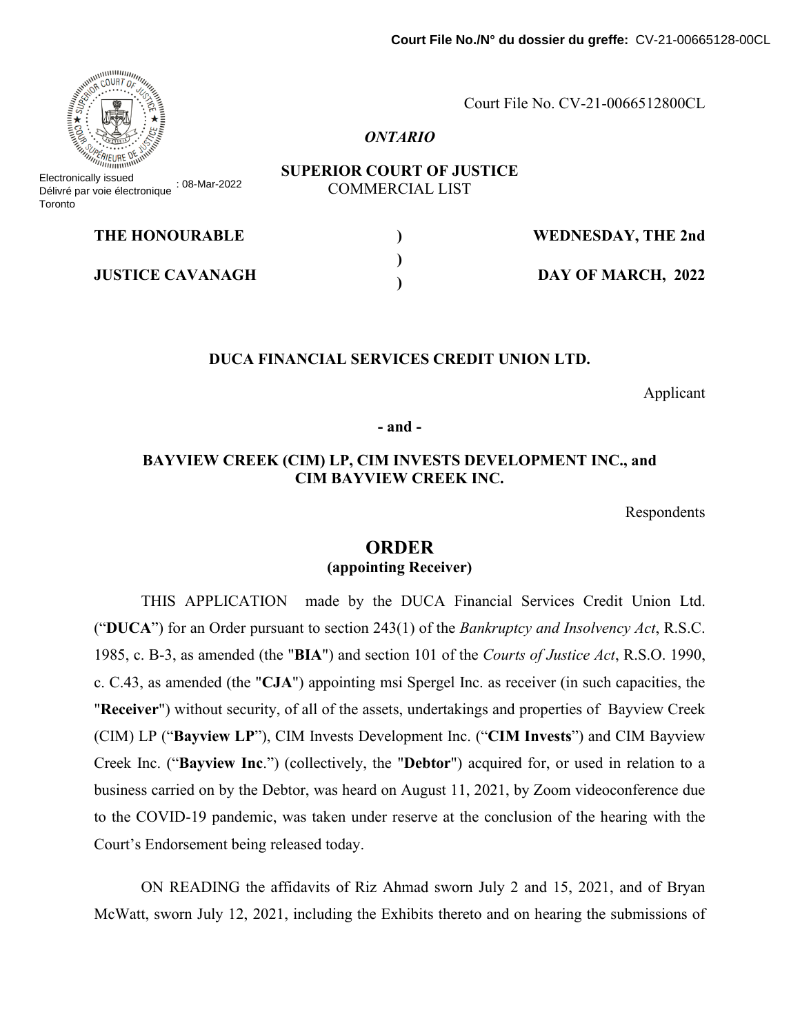Court File No. CV-21-0066512800CL

#### *ONTARIO*

**SUPERIOR COURT OF JUSTICE** COMMERCIAL LIST

| <b>THE HONOURABLE</b>   | <b>WEDNESDAY, THE 2nd</b> |
|-------------------------|---------------------------|
| <b>JUSTICE CAVANAGH</b> | DAY OF MARCH, 2022        |

#### **DUCA FINANCIAL SERVICES CREDIT UNION LTD.**

Applicant

**- and -**

## **BAYVIEW CREEK (CIM) LP, CIM INVESTS DEVELOPMENT INC., and CIM BAYVIEW CREEK INC.**

Respondents

# **ORDER (appointing Receiver)**

THIS APPLICATION made by the DUCA Financial Services Credit Union Ltd. ("**DUCA**") for an Order pursuant to section 243(1) of the *Bankruptcy and Insolvency Act*, R.S.C. 1985, c. B-3, as amended (the "**BIA**") and section 101 of the *Courts of Justice Act*, R.S.O. 1990, c. C.43, as amended (the "**CJA**") appointing msi Spergel Inc. as receiver (in such capacities, the "**Receiver**") without security, of all of the assets, undertakings and properties of Bayview Creek (CIM) LP ("**Bayview LP**"), CIM Invests Development Inc. ("**CIM Invests**") and CIM Bayview Creek Inc. ("**Bayview Inc**.") (collectively, the "**Debtor**") acquired for, or used in relation to a business carried on by the Debtor, was heard on August 11, 2021, by Zoom videoconference due to the COVID-19 pandemic, was taken under reserve at the conclusion of the hearing with the Court's Endorsement being released today.

ON READING the affidavits of Riz Ahmad sworn July 2 and 15, 2021, and of Bryan McWatt, sworn July 12, 2021, including the Exhibits thereto and on hearing the submissions of



Electronically issued Délivré par voie électronique : 08-Mar-2022 **Toronto**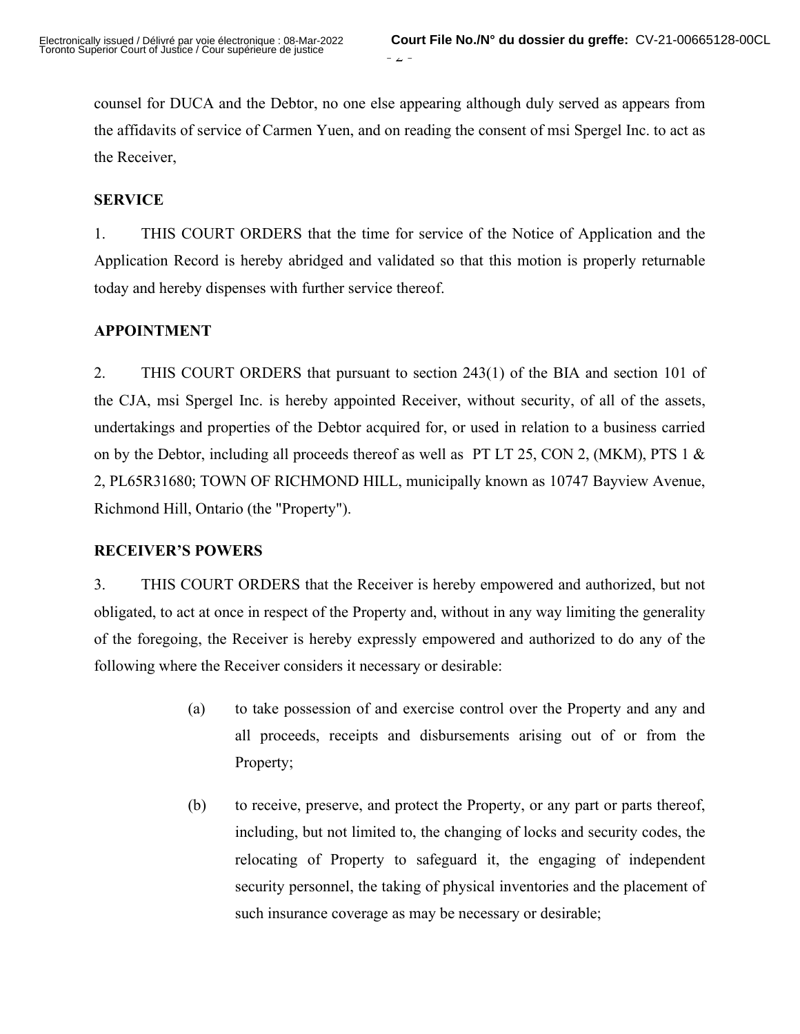counsel for DUCA and the Debtor, no one else appearing although duly served as appears from the affidavits of service of Carmen Yuen, and on reading the consent of msi Spergel Inc. to act as the Receiver,

## **SERVICE**

1. THIS COURT ORDERS that the time for service of the Notice of Application and the Application Record is hereby abridged and validated so that this motion is properly returnable today and hereby dispenses with further service thereof.

## **APPOINTMENT**

2. THIS COURT ORDERS that pursuant to section 243(1) of the BIA and section 101 of the CJA, msi Spergel Inc. is hereby appointed Receiver, without security, of all of the assets, undertakings and properties of the Debtor acquired for, or used in relation to a business carried on by the Debtor, including all proceeds thereof as well as PT LT 25, CON 2, (MKM), PTS 1  $&$ 2, PL65R31680; TOWN OF RICHMOND HILL, municipally known as 10747 Bayview Avenue, Richmond Hill, Ontario (the "Property").

## **RECEIVER'S POWERS**

3. THIS COURT ORDERS that the Receiver is hereby empowered and authorized, but not obligated, to act at once in respect of the Property and, without in any way limiting the generality of the foregoing, the Receiver is hereby expressly empowered and authorized to do any of the following where the Receiver considers it necessary or desirable:

- (a) to take possession of and exercise control over the Property and any and all proceeds, receipts and disbursements arising out of or from the Property;
- (b) to receive, preserve, and protect the Property, or any part or parts thereof, including, but not limited to, the changing of locks and security codes, the relocating of Property to safeguard it, the engaging of independent security personnel, the taking of physical inventories and the placement of such insurance coverage as may be necessary or desirable;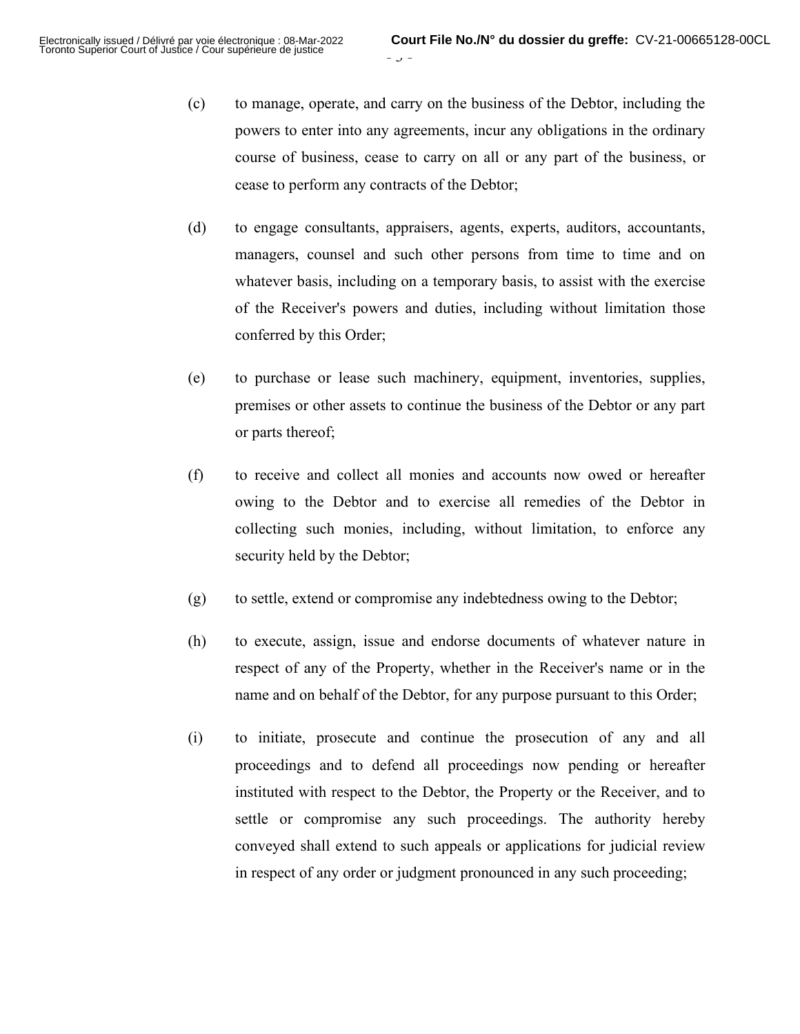(c) to manage, operate, and carry on the business of the Debtor, including the powers to enter into any agreements, incur any obligations in the ordinary course of business, cease to carry on all or any part of the business, or cease to perform any contracts of the Debtor;

- 3 -

- (d) to engage consultants, appraisers, agents, experts, auditors, accountants, managers, counsel and such other persons from time to time and on whatever basis, including on a temporary basis, to assist with the exercise of the Receiver's powers and duties, including without limitation those conferred by this Order;
- (e) to purchase or lease such machinery, equipment, inventories, supplies, premises or other assets to continue the business of the Debtor or any part or parts thereof;
- (f) to receive and collect all monies and accounts now owed or hereafter owing to the Debtor and to exercise all remedies of the Debtor in collecting such monies, including, without limitation, to enforce any security held by the Debtor;
- (g) to settle, extend or compromise any indebtedness owing to the Debtor;
- (h) to execute, assign, issue and endorse documents of whatever nature in respect of any of the Property, whether in the Receiver's name or in the name and on behalf of the Debtor, for any purpose pursuant to this Order;
- (i) to initiate, prosecute and continue the prosecution of any and all proceedings and to defend all proceedings now pending or hereafter instituted with respect to the Debtor, the Property or the Receiver, and to settle or compromise any such proceedings. The authority hereby conveyed shall extend to such appeals or applications for judicial review in respect of any order or judgment pronounced in any such proceeding;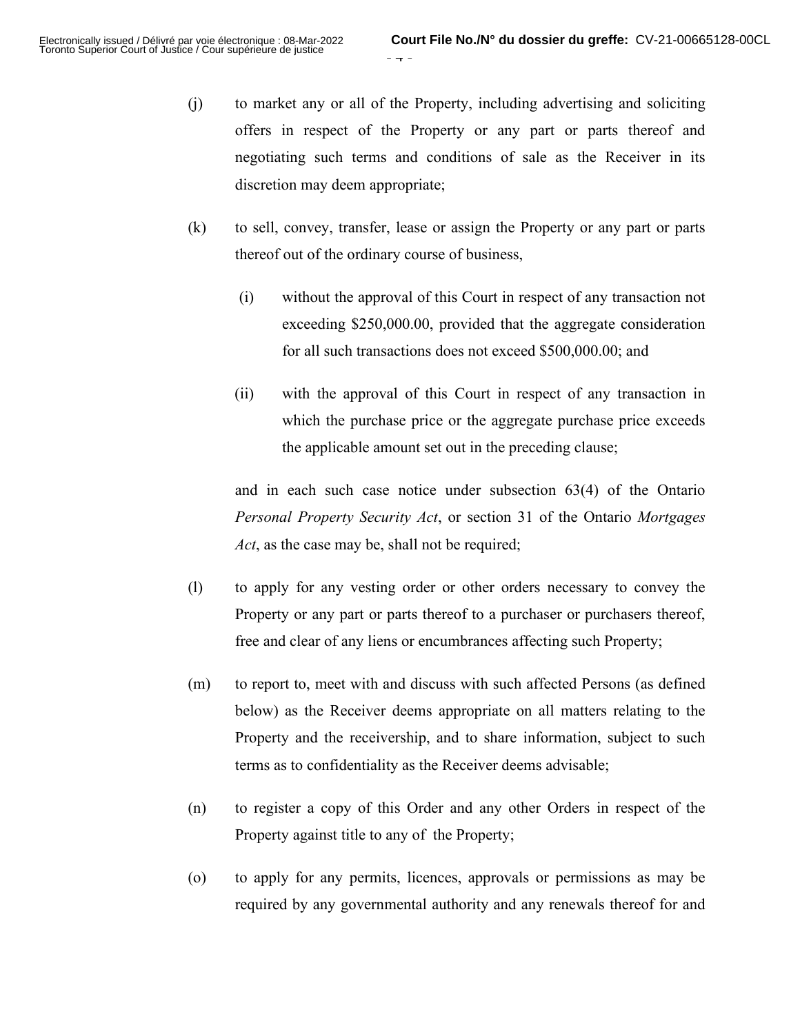- (j) to market any or all of the Property, including advertising and soliciting offers in respect of the Property or any part or parts thereof and negotiating such terms and conditions of sale as the Receiver in its discretion may deem appropriate;
- (k) to sell, convey, transfer, lease or assign the Property or any part or parts thereof out of the ordinary course of business,
	- (i) without the approval of this Court in respect of any transaction not exceeding \$250,000.00, provided that the aggregate consideration for all such transactions does not exceed \$500,000.00; and
	- (ii) with the approval of this Court in respect of any transaction in which the purchase price or the aggregate purchase price exceeds the applicable amount set out in the preceding clause;

and in each such case notice under subsection 63(4) of the Ontario *Personal Property Security Act*, or section 31 of the Ontario *Mortgages Act*, as the case may be, shall not be required;

- (l) to apply for any vesting order or other orders necessary to convey the Property or any part or parts thereof to a purchaser or purchasers thereof, free and clear of any liens or encumbrances affecting such Property;
- (m) to report to, meet with and discuss with such affected Persons (as defined below) as the Receiver deems appropriate on all matters relating to the Property and the receivership, and to share information, subject to such terms as to confidentiality as the Receiver deems advisable;
- (n) to register a copy of this Order and any other Orders in respect of the Property against title to any of the Property;
- (o) to apply for any permits, licences, approvals or permissions as may be required by any governmental authority and any renewals thereof for and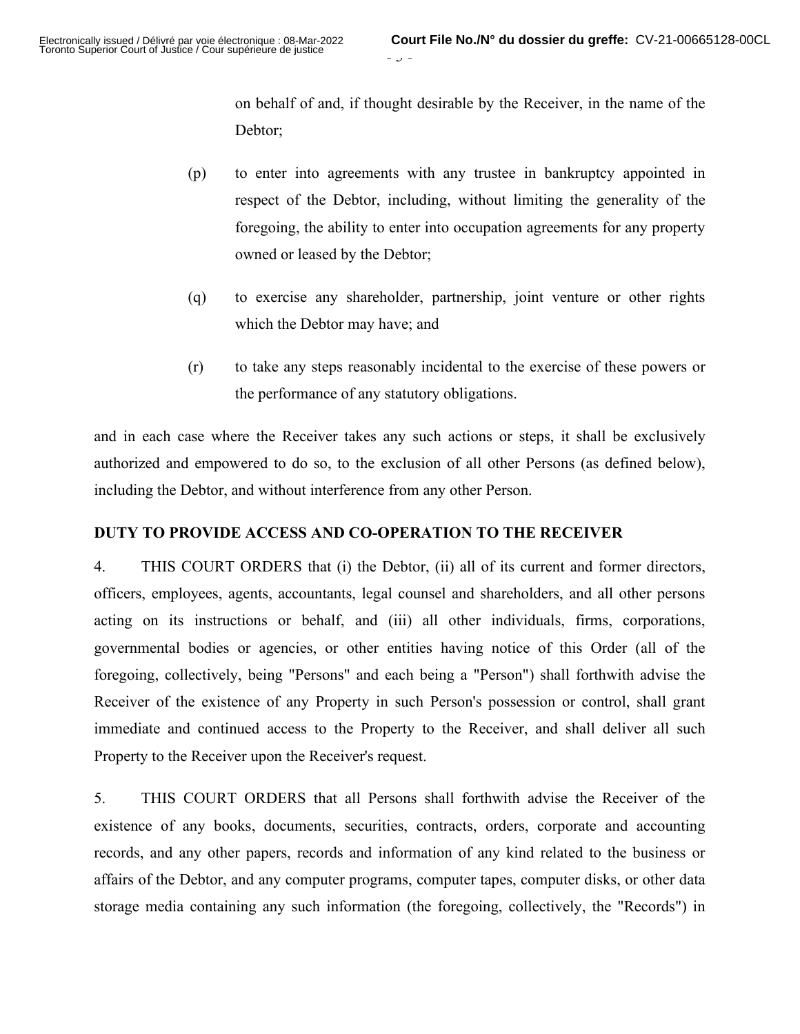on behalf of and, if thought desirable by the Receiver, in the name of the Debtor;

(p) to enter into agreements with any trustee in bankruptcy appointed in respect of the Debtor, including, without limiting the generality of the foregoing, the ability to enter into occupation agreements for any property owned or leased by the Debtor;

 $J -$ 

- (q) to exercise any shareholder, partnership, joint venture or other rights which the Debtor may have; and
- (r) to take any steps reasonably incidental to the exercise of these powers or the performance of any statutory obligations.

and in each case where the Receiver takes any such actions or steps, it shall be exclusively authorized and empowered to do so, to the exclusion of all other Persons (as defined below), including the Debtor, and without interference from any other Person.

## **DUTY TO PROVIDE ACCESS AND CO-OPERATION TO THE RECEIVER**

4. THIS COURT ORDERS that (i) the Debtor, (ii) all of its current and former directors, officers, employees, agents, accountants, legal counsel and shareholders, and all other persons acting on its instructions or behalf, and (iii) all other individuals, firms, corporations, governmental bodies or agencies, or other entities having notice of this Order (all of the foregoing, collectively, being "Persons" and each being a "Person") shall forthwith advise the Receiver of the existence of any Property in such Person's possession or control, shall grant immediate and continued access to the Property to the Receiver, and shall deliver all such Property to the Receiver upon the Receiver's request.

5. THIS COURT ORDERS that all Persons shall forthwith advise the Receiver of the existence of any books, documents, securities, contracts, orders, corporate and accounting records, and any other papers, records and information of any kind related to the business or affairs of the Debtor, and any computer programs, computer tapes, computer disks, or other data storage media containing any such information (the foregoing, collectively, the "Records") in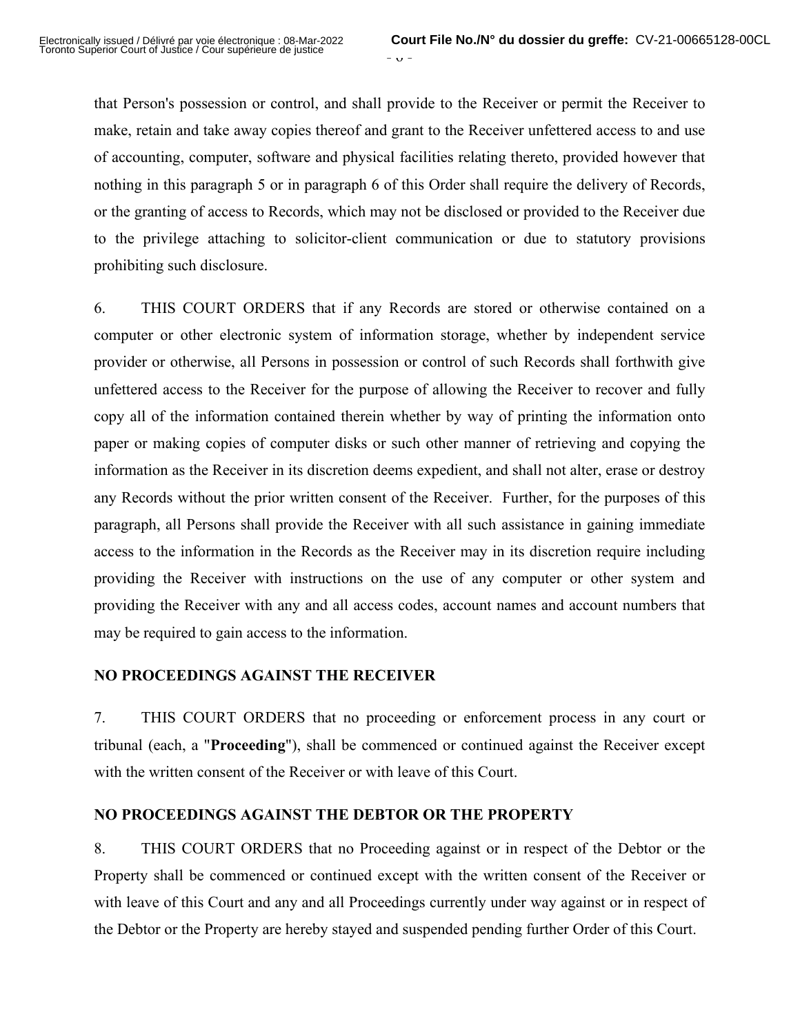that Person's possession or control, and shall provide to the Receiver or permit the Receiver to make, retain and take away copies thereof and grant to the Receiver unfettered access to and use of accounting, computer, software and physical facilities relating thereto, provided however that nothing in this paragraph 5 or in paragraph 6 of this Order shall require the delivery of Records, or the granting of access to Records, which may not be disclosed or provided to the Receiver due to the privilege attaching to solicitor-client communication or due to statutory provisions prohibiting such disclosure.

6. THIS COURT ORDERS that if any Records are stored or otherwise contained on a computer or other electronic system of information storage, whether by independent service provider or otherwise, all Persons in possession or control of such Records shall forthwith give unfettered access to the Receiver for the purpose of allowing the Receiver to recover and fully copy all of the information contained therein whether by way of printing the information onto paper or making copies of computer disks or such other manner of retrieving and copying the information as the Receiver in its discretion deems expedient, and shall not alter, erase or destroy any Records without the prior written consent of the Receiver. Further, for the purposes of this paragraph, all Persons shall provide the Receiver with all such assistance in gaining immediate access to the information in the Records as the Receiver may in its discretion require including providing the Receiver with instructions on the use of any computer or other system and providing the Receiver with any and all access codes, account names and account numbers that may be required to gain access to the information.

## **NO PROCEEDINGS AGAINST THE RECEIVER**

7. THIS COURT ORDERS that no proceeding or enforcement process in any court or tribunal (each, a "**Proceeding**"), shall be commenced or continued against the Receiver except with the written consent of the Receiver or with leave of this Court.

## **NO PROCEEDINGS AGAINST THE DEBTOR OR THE PROPERTY**

8. THIS COURT ORDERS that no Proceeding against or in respect of the Debtor or the Property shall be commenced or continued except with the written consent of the Receiver or with leave of this Court and any and all Proceedings currently under way against or in respect of the Debtor or the Property are hereby stayed and suspended pending further Order of this Court.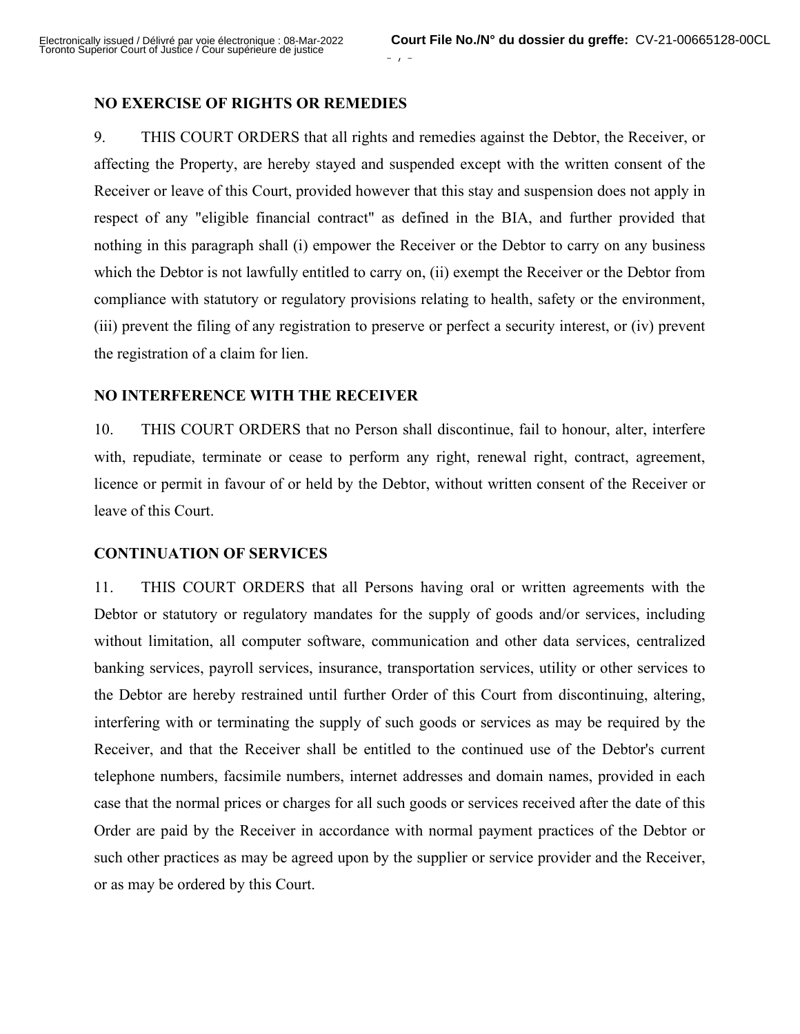## **NO EXERCISE OF RIGHTS OR REMEDIES**

9. THIS COURT ORDERS that all rights and remedies against the Debtor, the Receiver, or affecting the Property, are hereby stayed and suspended except with the written consent of the Receiver or leave of this Court, provided however that this stay and suspension does not apply in respect of any "eligible financial contract" as defined in the BIA, and further provided that nothing in this paragraph shall (i) empower the Receiver or the Debtor to carry on any business which the Debtor is not lawfully entitled to carry on, (ii) exempt the Receiver or the Debtor from compliance with statutory or regulatory provisions relating to health, safety or the environment, (iii) prevent the filing of any registration to preserve or perfect a security interest, or (iv) prevent the registration of a claim for lien.

 $1$  -

#### **NO INTERFERENCE WITH THE RECEIVER**

10. THIS COURT ORDERS that no Person shall discontinue, fail to honour, alter, interfere with, repudiate, terminate or cease to perform any right, renewal right, contract, agreement, licence or permit in favour of or held by the Debtor, without written consent of the Receiver or leave of this Court.

## **CONTINUATION OF SERVICES**

11. THIS COURT ORDERS that all Persons having oral or written agreements with the Debtor or statutory or regulatory mandates for the supply of goods and/or services, including without limitation, all computer software, communication and other data services, centralized banking services, payroll services, insurance, transportation services, utility or other services to the Debtor are hereby restrained until further Order of this Court from discontinuing, altering, interfering with or terminating the supply of such goods or services as may be required by the Receiver, and that the Receiver shall be entitled to the continued use of the Debtor's current telephone numbers, facsimile numbers, internet addresses and domain names, provided in each case that the normal prices or charges for all such goods or services received after the date of this Order are paid by the Receiver in accordance with normal payment practices of the Debtor or such other practices as may be agreed upon by the supplier or service provider and the Receiver, or as may be ordered by this Court.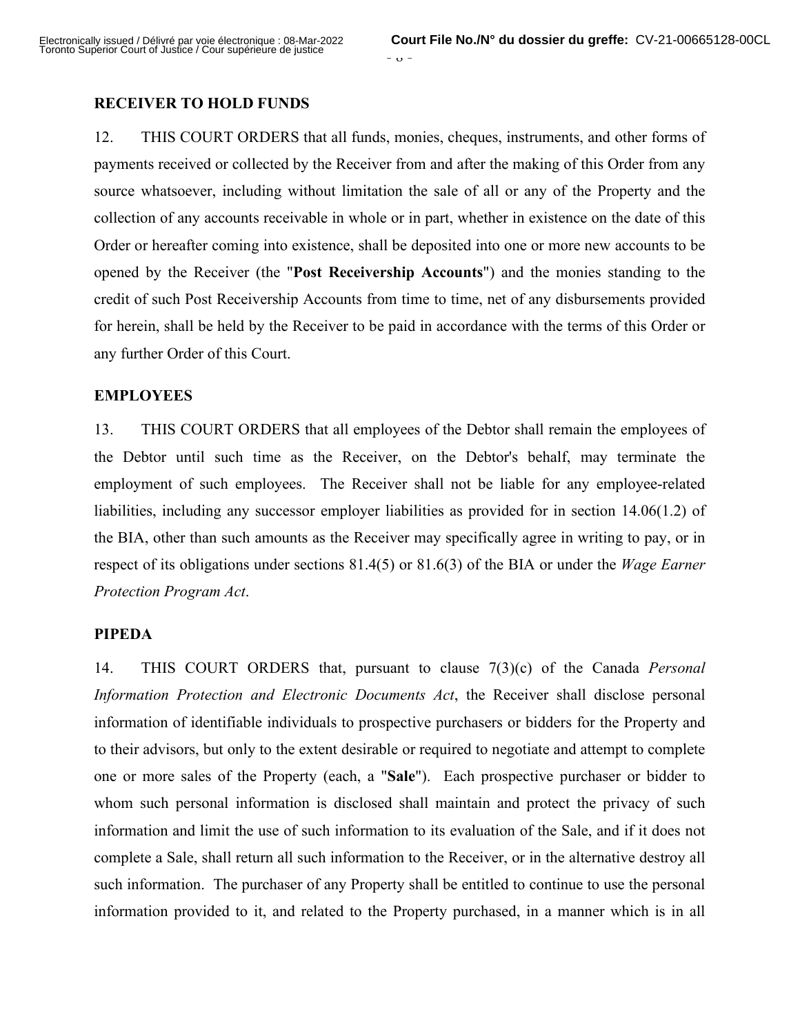### **RECEIVER TO HOLD FUNDS**

12. THIS COURT ORDERS that all funds, monies, cheques, instruments, and other forms of payments received or collected by the Receiver from and after the making of this Order from any source whatsoever, including without limitation the sale of all or any of the Property and the collection of any accounts receivable in whole or in part, whether in existence on the date of this Order or hereafter coming into existence, shall be deposited into one or more new accounts to be opened by the Receiver (the "**Post Receivership Accounts**") and the monies standing to the credit of such Post Receivership Accounts from time to time, net of any disbursements provided for herein, shall be held by the Receiver to be paid in accordance with the terms of this Order or any further Order of this Court.

#### **EMPLOYEES**

13. THIS COURT ORDERS that all employees of the Debtor shall remain the employees of the Debtor until such time as the Receiver, on the Debtor's behalf, may terminate the employment of such employees. The Receiver shall not be liable for any employee-related liabilities, including any successor employer liabilities as provided for in section 14.06(1.2) of the BIA, other than such amounts as the Receiver may specifically agree in writing to pay, or in respect of its obligations under sections 81.4(5) or 81.6(3) of the BIA or under the *Wage Earner Protection Program Act*.

## **PIPEDA**

14. THIS COURT ORDERS that, pursuant to clause 7(3)(c) of the Canada *Personal Information Protection and Electronic Documents Act*, the Receiver shall disclose personal information of identifiable individuals to prospective purchasers or bidders for the Property and to their advisors, but only to the extent desirable or required to negotiate and attempt to complete one or more sales of the Property (each, a "**Sale**"). Each prospective purchaser or bidder to whom such personal information is disclosed shall maintain and protect the privacy of such information and limit the use of such information to its evaluation of the Sale, and if it does not complete a Sale, shall return all such information to the Receiver, or in the alternative destroy all such information. The purchaser of any Property shall be entitled to continue to use the personal information provided to it, and related to the Property purchased, in a manner which is in all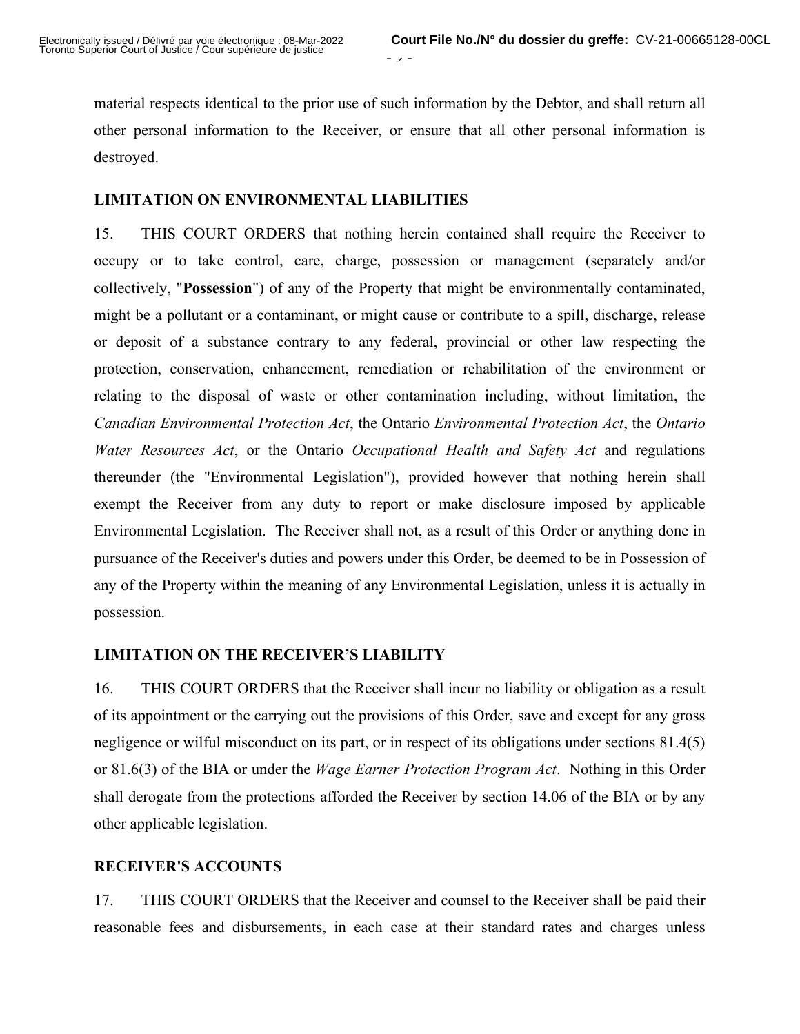material respects identical to the prior use of such information by the Debtor, and shall return all other personal information to the Receiver, or ensure that all other personal information is destroyed.

 $\mathcal{F}$  -

## **LIMITATION ON ENVIRONMENTAL LIABILITIES**

15. THIS COURT ORDERS that nothing herein contained shall require the Receiver to occupy or to take control, care, charge, possession or management (separately and/or collectively, "**Possession**") of any of the Property that might be environmentally contaminated, might be a pollutant or a contaminant, or might cause or contribute to a spill, discharge, release or deposit of a substance contrary to any federal, provincial or other law respecting the protection, conservation, enhancement, remediation or rehabilitation of the environment or relating to the disposal of waste or other contamination including, without limitation, the *Canadian Environmental Protection Act*, the Ontario *Environmental Protection Act*, the *Ontario Water Resources Act*, or the Ontario *Occupational Health and Safety Act* and regulations thereunder (the "Environmental Legislation"), provided however that nothing herein shall exempt the Receiver from any duty to report or make disclosure imposed by applicable Environmental Legislation. The Receiver shall not, as a result of this Order or anything done in pursuance of the Receiver's duties and powers under this Order, be deemed to be in Possession of any of the Property within the meaning of any Environmental Legislation, unless it is actually in possession.

## **LIMITATION ON THE RECEIVER'S LIABILITY**

16. THIS COURT ORDERS that the Receiver shall incur no liability or obligation as a result of its appointment or the carrying out the provisions of this Order, save and except for any gross negligence or wilful misconduct on its part, or in respect of its obligations under sections 81.4(5) or 81.6(3) of the BIA or under the *Wage Earner Protection Program Act*. Nothing in this Order shall derogate from the protections afforded the Receiver by section 14.06 of the BIA or by any other applicable legislation.

## **RECEIVER'S ACCOUNTS**

17. THIS COURT ORDERS that the Receiver and counsel to the Receiver shall be paid their reasonable fees and disbursements, in each case at their standard rates and charges unless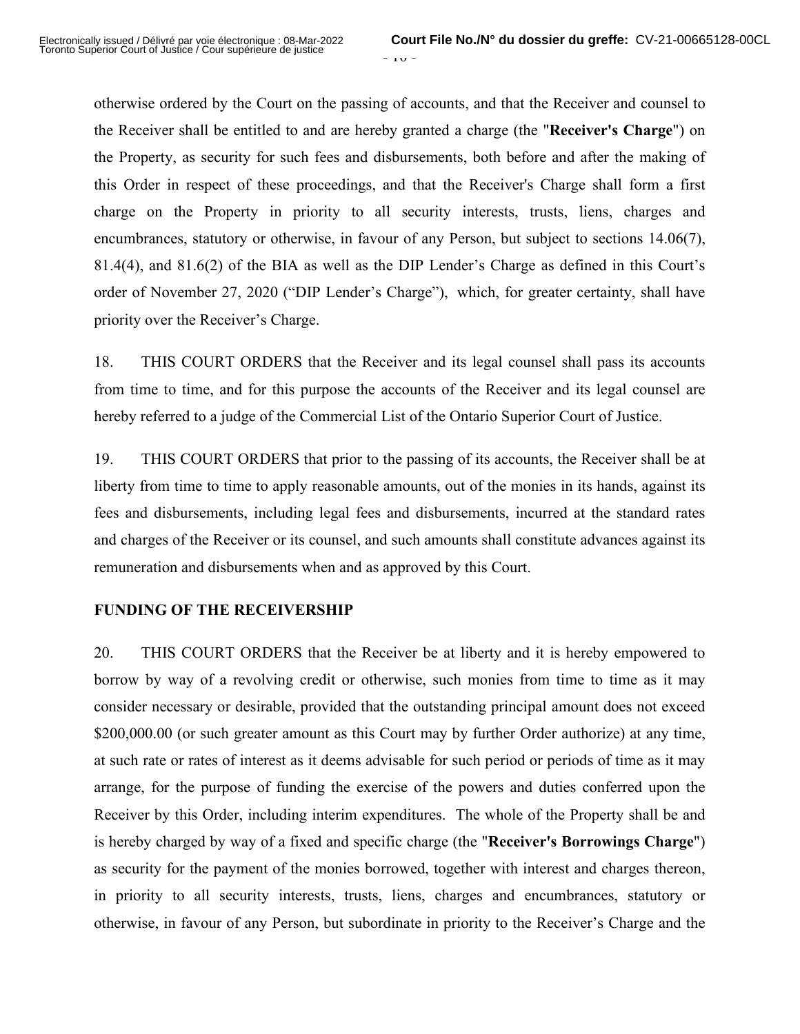$-10 -$ 

otherwise ordered by the Court on the passing of accounts, and that the Receiver and counsel to the Receiver shall be entitled to and are hereby granted a charge (the "**Receiver's Charge**") on the Property, as security for such fees and disbursements, both before and after the making of this Order in respect of these proceedings, and that the Receiver's Charge shall form a first charge on the Property in priority to all security interests, trusts, liens, charges and encumbrances, statutory or otherwise, in favour of any Person, but subject to sections 14.06(7), 81.4(4), and 81.6(2) of the BIA as well as the DIP Lender's Charge as defined in this Court's order of November 27, 2020 ("DIP Lender's Charge"), which, for greater certainty, shall have priority over the Receiver's Charge.

18. THIS COURT ORDERS that the Receiver and its legal counsel shall pass its accounts from time to time, and for this purpose the accounts of the Receiver and its legal counsel are hereby referred to a judge of the Commercial List of the Ontario Superior Court of Justice.

19. THIS COURT ORDERS that prior to the passing of its accounts, the Receiver shall be at liberty from time to time to apply reasonable amounts, out of the monies in its hands, against its fees and disbursements, including legal fees and disbursements, incurred at the standard rates and charges of the Receiver or its counsel, and such amounts shall constitute advances against its remuneration and disbursements when and as approved by this Court.

## **FUNDING OF THE RECEIVERSHIP**

20. THIS COURT ORDERS that the Receiver be at liberty and it is hereby empowered to borrow by way of a revolving credit or otherwise, such monies from time to time as it may consider necessary or desirable, provided that the outstanding principal amount does not exceed \$200,000.00 (or such greater amount as this Court may by further Order authorize) at any time, at such rate or rates of interest as it deems advisable for such period or periods of time as it may arrange, for the purpose of funding the exercise of the powers and duties conferred upon the Receiver by this Order, including interim expenditures. The whole of the Property shall be and is hereby charged by way of a fixed and specific charge (the "**Receiver's Borrowings Charge**") as security for the payment of the monies borrowed, together with interest and charges thereon, in priority to all security interests, trusts, liens, charges and encumbrances, statutory or otherwise, in favour of any Person, but subordinate in priority to the Receiver's Charge and the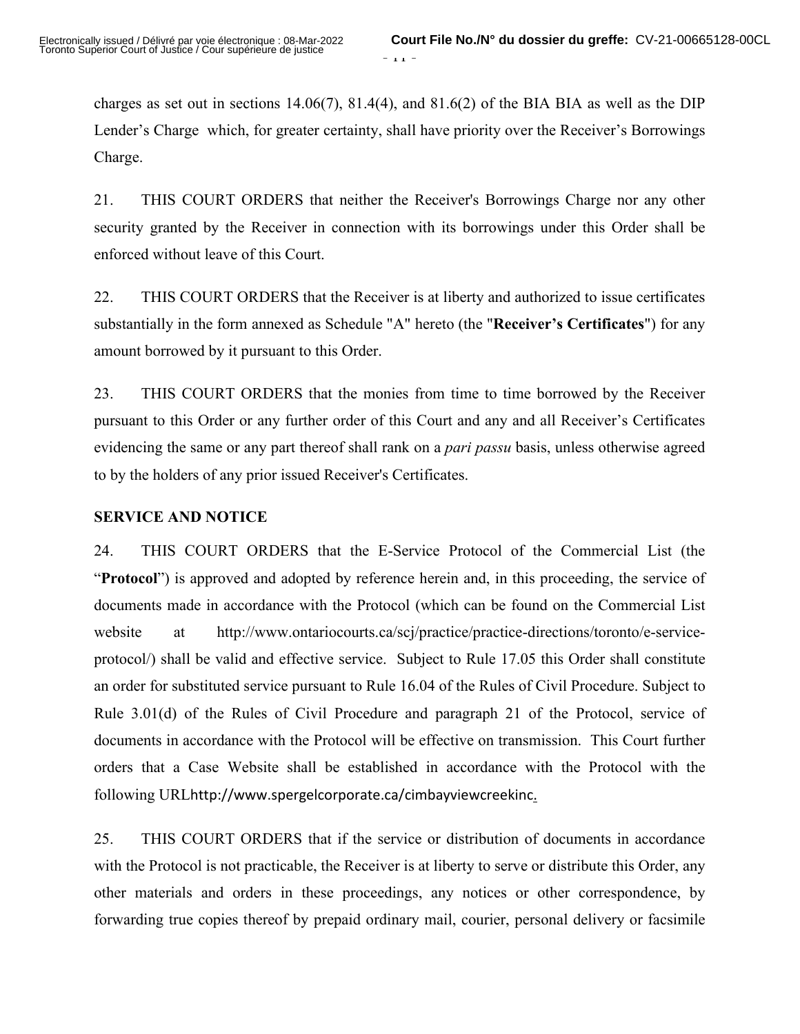charges as set out in sections 14.06(7), 81.4(4), and 81.6(2) of the BIA BIA as well as the DIP Lender's Charge which, for greater certainty, shall have priority over the Receiver's Borrowings Charge.

21. THIS COURT ORDERS that neither the Receiver's Borrowings Charge nor any other security granted by the Receiver in connection with its borrowings under this Order shall be enforced without leave of this Court.

22. THIS COURT ORDERS that the Receiver is at liberty and authorized to issue certificates substantially in the form annexed as Schedule "A" hereto (the "**Receiver's Certificates**") for any amount borrowed by it pursuant to this Order.

23. THIS COURT ORDERS that the monies from time to time borrowed by the Receiver pursuant to this Order or any further order of this Court and any and all Receiver's Certificates evidencing the same or any part thereof shall rank on a *pari passu* basis, unless otherwise agreed to by the holders of any prior issued Receiver's Certificates.

## **SERVICE AND NOTICE**

24. THIS COURT ORDERS that the E-Service Protocol of the Commercial List (the "**Protocol**") is approved and adopted by reference herein and, in this proceeding, the service of documents made in accordance with the Protocol (which can be found on the Commercial List website at http://www.ontariocourts.ca/scj/practice/practice-directions/toronto/e-serviceprotocol/) shall be valid and effective service. Subject to Rule 17.05 this Order shall constitute an order for substituted service pursuant to Rule 16.04 of the Rules of Civil Procedure. Subject to Rule 3.01(d) of the Rules of Civil Procedure and paragraph 21 of the Protocol, service of documents in accordance with the Protocol will be effective on transmission. This Court further orders that a Case Website shall be established in accordance with the Protocol with the following URLhttp://www.spergelcorporate.ca/cimbayviewcreekinc.

25. THIS COURT ORDERS that if the service or distribution of documents in accordance with the Protocol is not practicable, the Receiver is at liberty to serve or distribute this Order, any other materials and orders in these proceedings, any notices or other correspondence, by forwarding true copies thereof by prepaid ordinary mail, courier, personal delivery or facsimile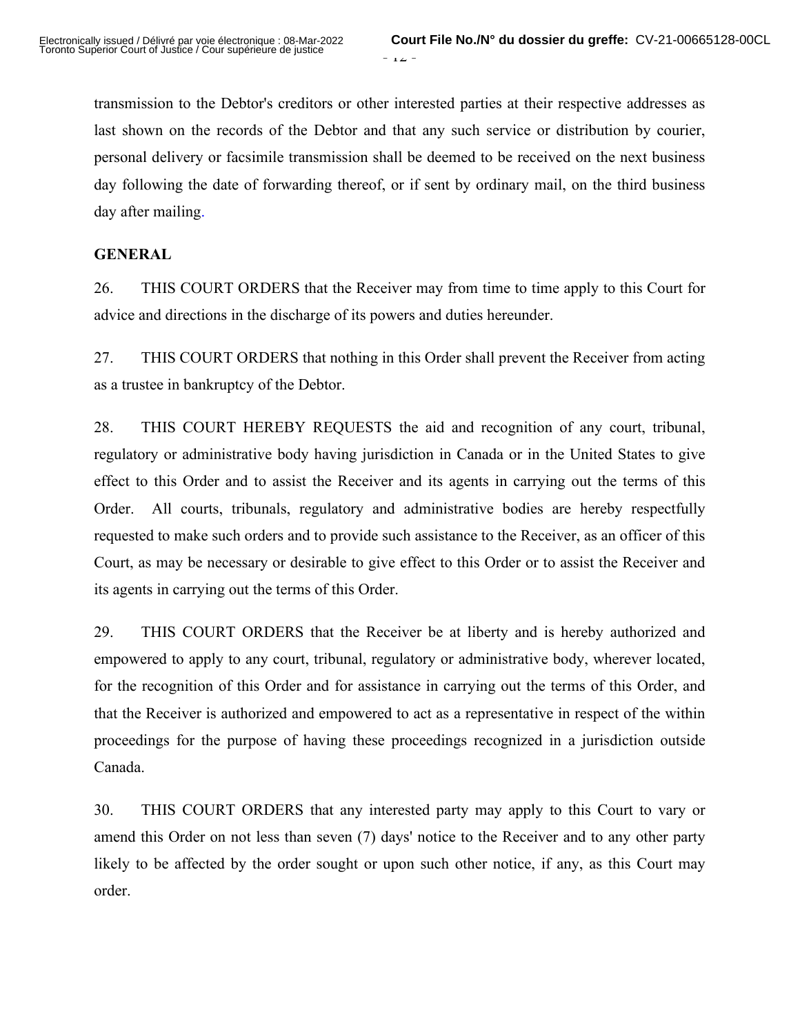transmission to the Debtor's creditors or other interested parties at their respective addresses as last shown on the records of the Debtor and that any such service or distribution by courier, personal delivery or facsimile transmission shall be deemed to be received on the next business day following the date of forwarding thereof, or if sent by ordinary mail, on the third business day after mailing.

## **GENERAL**

26. THIS COURT ORDERS that the Receiver may from time to time apply to this Court for advice and directions in the discharge of its powers and duties hereunder.

27. THIS COURT ORDERS that nothing in this Order shall prevent the Receiver from acting as a trustee in bankruptcy of the Debtor.

28. THIS COURT HEREBY REQUESTS the aid and recognition of any court, tribunal, regulatory or administrative body having jurisdiction in Canada or in the United States to give effect to this Order and to assist the Receiver and its agents in carrying out the terms of this Order. All courts, tribunals, regulatory and administrative bodies are hereby respectfully requested to make such orders and to provide such assistance to the Receiver, as an officer of this Court, as may be necessary or desirable to give effect to this Order or to assist the Receiver and its agents in carrying out the terms of this Order.

29. THIS COURT ORDERS that the Receiver be at liberty and is hereby authorized and empowered to apply to any court, tribunal, regulatory or administrative body, wherever located, for the recognition of this Order and for assistance in carrying out the terms of this Order, and that the Receiver is authorized and empowered to act as a representative in respect of the within proceedings for the purpose of having these proceedings recognized in a jurisdiction outside Canada.

30. THIS COURT ORDERS that any interested party may apply to this Court to vary or amend this Order on not less than seven (7) days' notice to the Receiver and to any other party likely to be affected by the order sought or upon such other notice, if any, as this Court may order.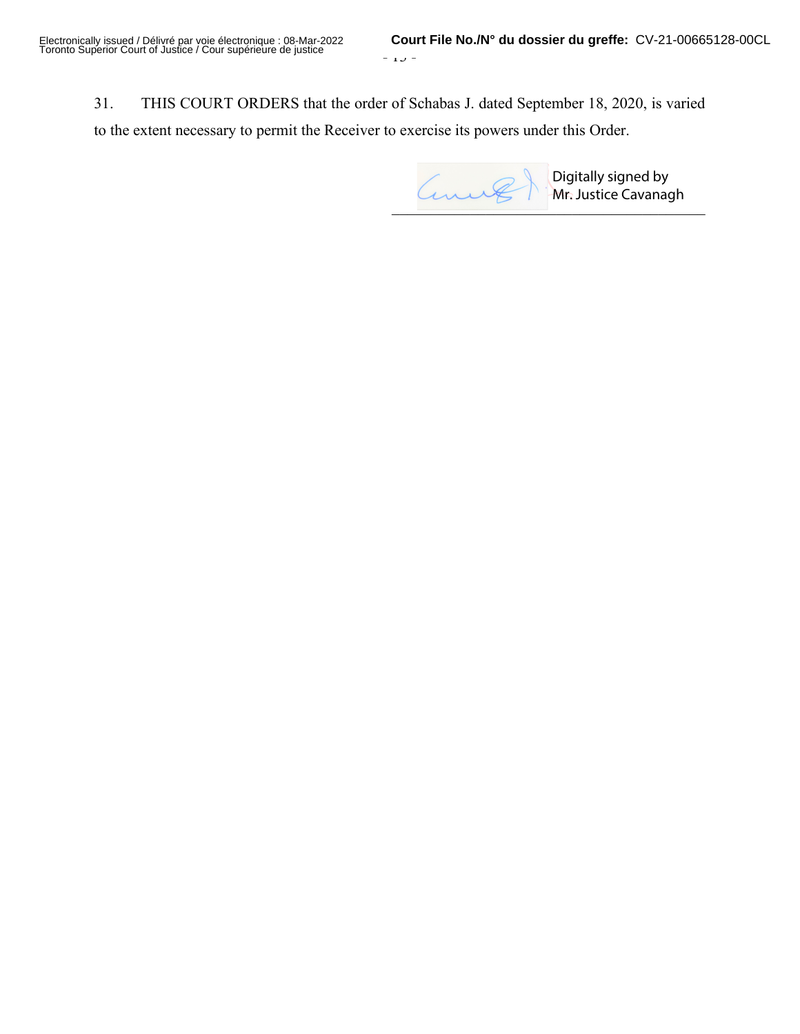31. THIS COURT ORDERS that the order of Schabas J. dated September 18, 2020, is varied to the extent necessary to permit the Receiver to exercise its powers under this Order.

 $\blacksquare$ 

Digitally signed by Mr. Justice Cavanagh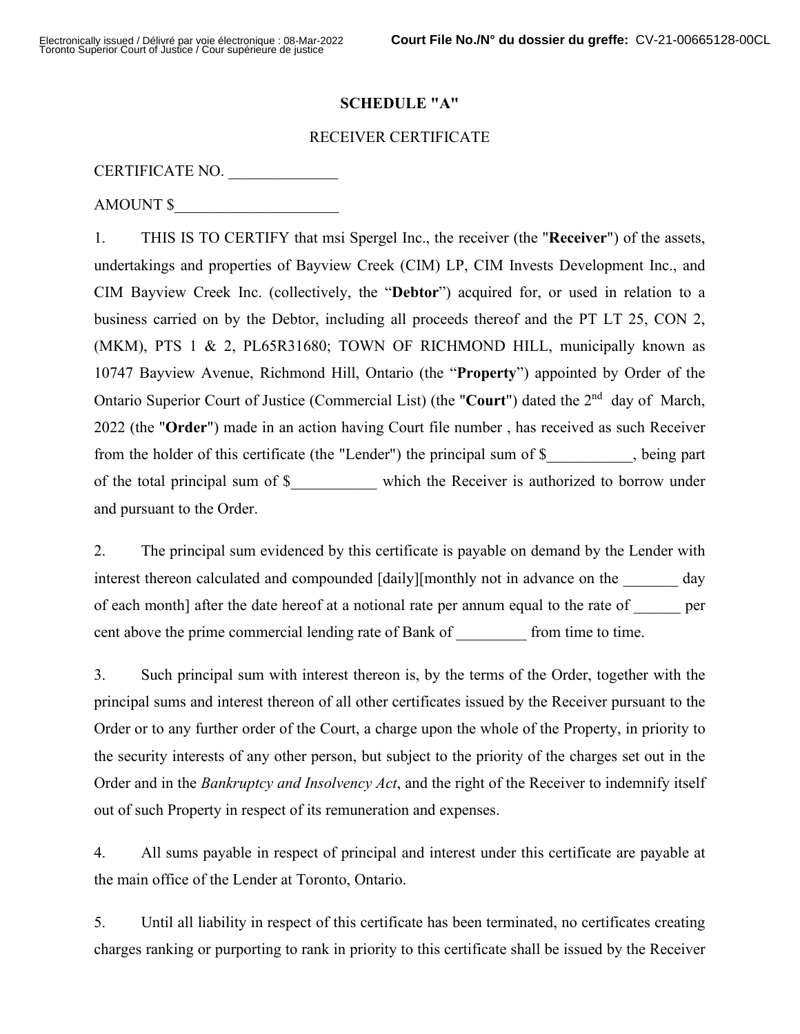### **SCHEDULE "A"**

## RECEIVER CERTIFICATE

### CERTIFICATE NO.

AMOUNT \$

1. THIS IS TO CERTIFY that msi Spergel Inc., the receiver (the "**Receiver**") of the assets, undertakings and properties of Bayview Creek (CIM) LP, CIM Invests Development Inc., and CIM Bayview Creek Inc. (collectively, the "**Debtor**") acquired for, or used in relation to a business carried on by the Debtor, including all proceeds thereof and the PT LT 25, CON 2, (MKM), PTS 1 & 2, PL65R31680; TOWN OF RICHMOND HILL, municipally known as 10747 Bayview Avenue, Richmond Hill, Ontario (the "**Property**") appointed by Order of the Ontario Superior Court of Justice (Commercial List) (the "Court") dated the 2<sup>nd</sup> day of March, 2022 (the "**Order**") made in an action having Court file number , has received as such Receiver from the holder of this certificate (the "Lender") the principal sum of \$\_\_\_\_\_\_\_\_\_\_\_, being part of the total principal sum of \$\_\_\_\_\_\_\_\_\_\_\_ which the Receiver is authorized to borrow under and pursuant to the Order.

2. The principal sum evidenced by this certificate is payable on demand by the Lender with interest thereon calculated and compounded [daily][monthly not in advance on the day of each month] after the date hereof at a notional rate per annum equal to the rate of per cent above the prime commercial lending rate of Bank of from time to time.

3. Such principal sum with interest thereon is, by the terms of the Order, together with the principal sums and interest thereon of all other certificates issued by the Receiver pursuant to the Order or to any further order of the Court, a charge upon the whole of the Property, in priority to the security interests of any other person, but subject to the priority of the charges set out in the Order and in the *Bankruptcy and Insolvency Act*, and the right of the Receiver to indemnify itself out of such Property in respect of its remuneration and expenses.

4. All sums payable in respect of principal and interest under this certificate are payable at the main office of the Lender at Toronto, Ontario.

5. Until all liability in respect of this certificate has been terminated, no certificates creating charges ranking or purporting to rank in priority to this certificate shall be issued by the Receiver